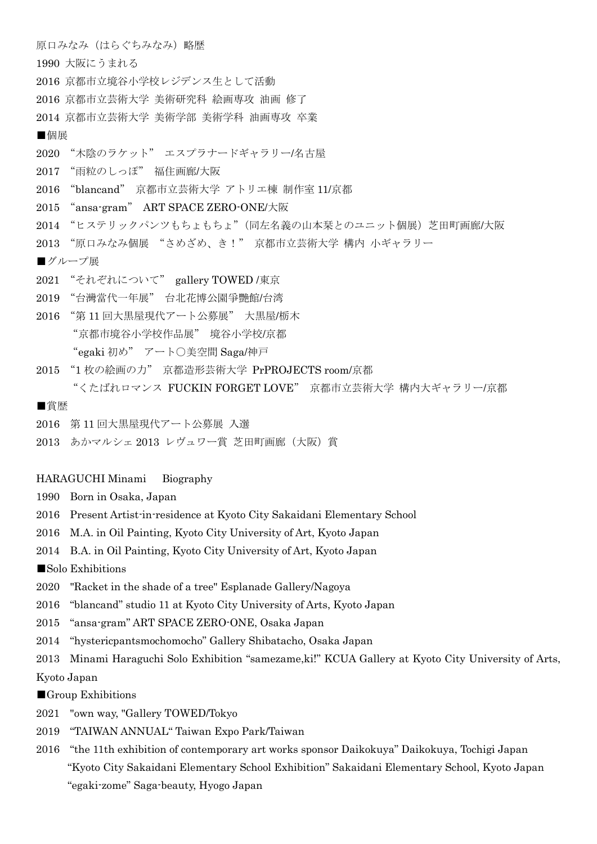原口みなみ(はらぐちみなみ)略歴

- 1990 大阪にうまれる
- 2016 京都市立境谷小学校レジデンス生として活動
- 2016 京都市立芸術大学 美術研究科 絵画専攻 油画 修了
- 2014 京都市立芸術大学 美術学部 美術学科 油画専攻 卒業

## ■個展

- 2020 "木陰のラケット" エスプラナードギャラリー/名古屋
- 2017 "雨粒のしっぽ" 福住画廊/大阪
- 2016 "blancand" 京都市立芸術大学 アトリエ棟 制作室 11/京都
- 2015 "ansa-gram" ART SPACE ZERO-ONE/大阪
- 2014 "ヒステリックパンツもちょもちょ"(同左名義の山本栞とのユニット個展)芝田町画廊/大阪
- 2013 "原口みなみ個展 "さめざめ、き!" 京都市立芸術大学 構内 小ギャラリー
- ■グループ展
- 2021 "それぞれについて" gallery TOWED /東京
- 2019 "台灣當代一年展" 台北花博公園爭艷館/台湾
- 2016 "第 11 回大黒屋現代アート公募展" 大黒屋/栃木 "京都市境谷小学校作品展" 境谷小学校/京都 "egaki 初め" アート○美空間 Saga/神戸
- 2015 "1 枚の絵画の力" 京都造形芸術大学 PrPROJECTS room/京都 "くたばれロマンス FUCKIN FORGET LOVE" 京都市立芸術大学 構内大ギャラリー/京都
- ■賞歴
- 2016 第 11 回大黒屋現代アート公募展 入選
- 2013 あかマルシェ 2013 レヴュワー賞 芝田町画廊(大阪)賞

## HARAGUCHI Minami Biography

- 1990 Born in Osaka, Japan
- 2016 Present Artist-in-residence at Kyoto City Sakaidani Elementary School
- 2016 M.A. in Oil Painting, Kyoto City University of Art, Kyoto Japan
- 2014 B.A. in Oil Painting, Kyoto City University of Art, Kyoto Japan
- ■Solo Exhibitions
- 2020 "Racket in the shade of a tree" Esplanade Gallery/Nagoya
- 2016 "blancand" studio 11 at Kyoto City University of Arts, Kyoto Japan
- 2015 "ansa-gram" ART SPACE ZERO-ONE, Osaka Japan
- 2014 "hystericpantsmochomocho" Gallery Shibatacho, Osaka Japan
- 2013 Minami Haraguchi Solo Exhibition "samezame,ki!" KCUA Gallery at Kyoto City University of Arts, Kyoto Japan
- ■Group Exhibitions
- 2021 "own way, "Gallery TOWED/Tokyo
- 2019 "TAIWAN ANNUAL" Taiwan Expo Park/Taiwan
- 2016 "the 11th exhibition of contemporary art works sponsor Daikokuya" Daikokuya, Tochigi Japan "Kyoto City Sakaidani Elementary School Exhibition" Sakaidani Elementary School, Kyoto Japan "egaki-zome" Saga-beauty, Hyogo Japan